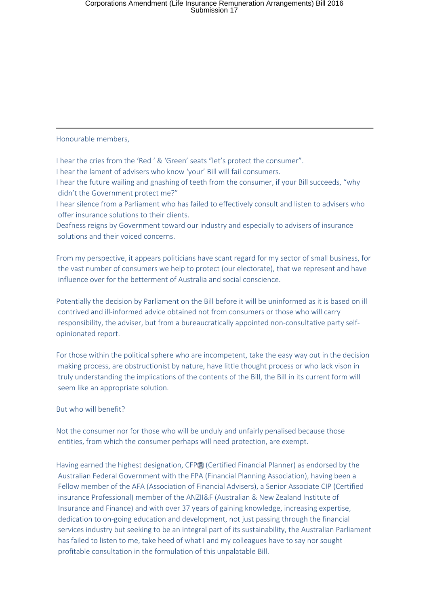### Honourable members,

I hear the cries from the 'Red ' & 'Green' seats "let's protect the consumer".

I hear the lament of advisers who know 'your' Bill will fail consumers.

I hear the future wailing and gnashing of teeth from the consumer, if your Bill succeeds, "why didn't the Government protect me?"

I hear silence from a Parliament who has failed to effectively consult and listen to advisers who offer insurance solutions to their clients.

Deafness reigns by Government toward our industry and especially to advisers of insurance solutions and their voiced concerns.

From my perspective, it appears politicians have scant regard for my sector of small business, for the vast number of consumers we help to protect (our electorate), that we represent and have influence over for the betterment of Australia and social conscience.

Potentially the decision by Parliament on the Bill before it will be uninformed as it is based on ill contrived and ill-informed advice obtained not from consumers or those who will carry responsibility, the adviser, but from a bureaucratically appointed non-consultative party selfopinionated report.

For those within the political sphere who are incompetent, take the easy way out in the decision making process, are obstructionist by nature, have little thought process or who lack vison in truly understanding the implications of the contents of the Bill, the Bill in its current form will seem like an appropriate solution.

## But who will benefit?

Not the consumer nor for those who will be unduly and unfairly penalised because those entities, from which the consumer perhaps will need protection, are exempt.

Having earned the highest designation, CFP® (Certified Financial Planner) as endorsed by the Australian Federal Government with the FPA (Financial Planning Association), having been a Fellow member of the AFA (Association of Financial Advisers), a Senior Associate CIP (Certified insurance Professional) member of the ANZII&F (Australian & New Zealand Institute of Insurance and Finance) and with over 37 years of gaining knowledge, increasing expertise, dedication to on-going education and development, not just passing through the financial services industry but seeking to be an integral part of its sustainability, the Australian Parliament has failed to listen to me, take heed of what I and my colleagues have to say nor sought profitable consultation in the formulation of this unpalatable Bill.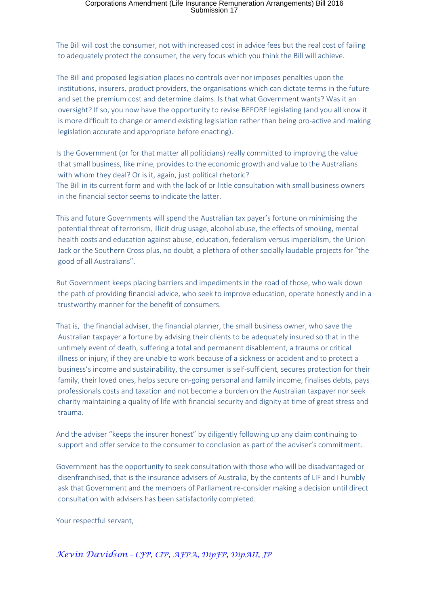The Bill will cost the consumer, not with increased cost in advice fees but the real cost of failing to adequately protect the consumer, the very focus which you think the Bill will achieve.

The Bill and proposed legislation places no controls over nor imposes penalties upon the institutions, insurers, product providers, the organisations which can dictate terms in the future and set the premium cost and determine claims. Is that what Government wants? Was it an oversight? If so, you now have the opportunity to revise BEFORE legislating (and you all know it is more difficult to change or amend existing legislation rather than being pro-active and making legislation accurate and appropriate before enacting).

Is the Government (or for that matter all politicians) really committed to improving the value that small business, like mine, provides to the economic growth and value to the Australians with whom they deal? Or is it, again, just political rhetoric? The Bill in its current form and with the lack of or little consultation with small business owners in the financial sector seems to indicate the latter.

This and future Governments will spend the Australian tax payer's fortune on minimising the potential threat of terrorism, illicit drug usage, alcohol abuse, the effects of smoking, mental health costs and education against abuse, education, federalism versus imperialism, the Union Jack or the Southern Cross plus, no doubt, a plethora of other socially laudable projects for "the good of all Australians".

But Government keeps placing barriers and impediments in the road of those, who walk down the path of providing financial advice, who seek to improve education, operate honestly and in a trustworthy manner for the benefit of consumers.

That is, the financial adviser, the financial planner, the small business owner, who save the Australian taxpayer a fortune by advising their clients to be adequately insured so that in the untimely event of death, suffering a total and permanent disablement, a trauma or critical illness or injury, if they are unable to work because of a sickness or accident and to protect a business's income and sustainability, the consumer is self-sufficient, secures protection for their family, their loved ones, helps secure on-going personal and family income, finalises debts, pays professionals costs and taxation and not become a burden on the Australian taxpayer nor seek charity maintaining a quality of life with financial security and dignity at time of great stress and trauma.

And the adviser "keeps the insurer honest" by diligently following up any claim continuing to support and offer service to the consumer to conclusion as part of the adviser's commitment.

Government has the opportunity to seek consultation with those who will be disadvantaged or disenfranchised, that is the insurance advisers of Australia, by the contents of LIF and I humbly ask that Government and the members of Parliament re-consider making a decision until direct consultation with advisers has been satisfactorily completed.

Your respectful servant,

*Kevin Davidson – CFP, CIP, AFPA, DipFP, DipAII, JP*